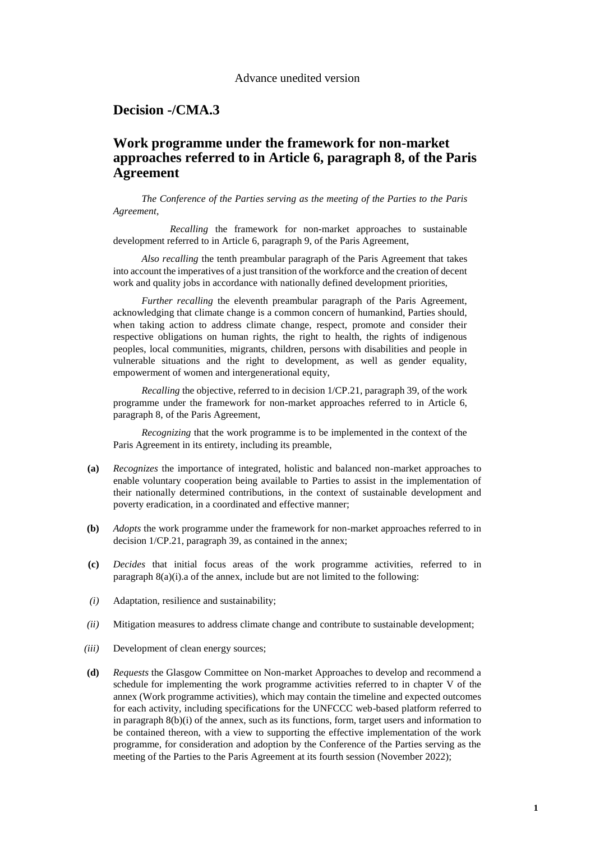#### Advance unedited version

#### **Decision -/CMA.3**

# **Work programme under the framework for non-market approaches referred to in Article 6, paragraph 8, of the Paris Agreement**

*The Conference of the Parties serving as the meeting of the Parties to the Paris Agreement*,

*Recalling* the framework for non-market approaches to sustainable development referred to in Article 6, paragraph 9, of the Paris Agreement,

*Also recalling* the tenth preambular paragraph of the Paris Agreement that takes into account the imperatives of a just transition of the workforce and the creation of decent work and quality jobs in accordance with nationally defined development priorities,

*Further recalling* the eleventh preambular paragraph of the Paris Agreement, acknowledging that climate change is a common concern of humankind, Parties should, when taking action to address climate change, respect, promote and consider their respective obligations on human rights, the right to health, the rights of indigenous peoples, local communities, migrants, children, persons with disabilities and people in vulnerable situations and the right to development, as well as gender equality, empowerment of women and intergenerational equity,

*Recalling* the objective, referred to in decision 1/CP.21, paragraph 39, of the work programme under the framework for non-market approaches referred to in Article 6, paragraph 8, of the Paris Agreement,

*Recognizing* that the work programme is to be implemented in the context of the Paris Agreement in its entirety, including its preamble,

- **(a)** *Recognizes* the importance of integrated, holistic and balanced non-market approaches to enable voluntary cooperation being available to Parties to assist in the implementation of their nationally determined contributions, in the context of sustainable development and poverty eradication, in a coordinated and effective manner;
- **(b)** *Adopts* the work programme under the framework for non-market approaches referred to in decision 1/CP.21, paragraph 39, as contained in the annex;
- **(c)** *Decides* that initial focus areas of the work programme activities, referred to in paragraph 8(a)(i).a of the annex, include but are not limited to the following:
- *(i)* Adaptation, resilience and sustainability;
- *(ii)* Mitigation measures to address climate change and contribute to sustainable development;
- *(iii)* Development of clean energy sources;
- **(d)** *Requests* the Glasgow Committee on Non-market Approaches to develop and recommend a schedule for implementing the work programme activities referred to in chapter V of the annex (Work programme activities), which may contain the timeline and expected outcomes for each activity, including specifications for the UNFCCC web-based platform referred to in paragraph 8(b)(i) of the annex, such as its functions, form, target users and information to be contained thereon, with a view to supporting the effective implementation of the work programme, for consideration and adoption by the Conference of the Parties serving as the meeting of the Parties to the Paris Agreement at its fourth session (November 2022);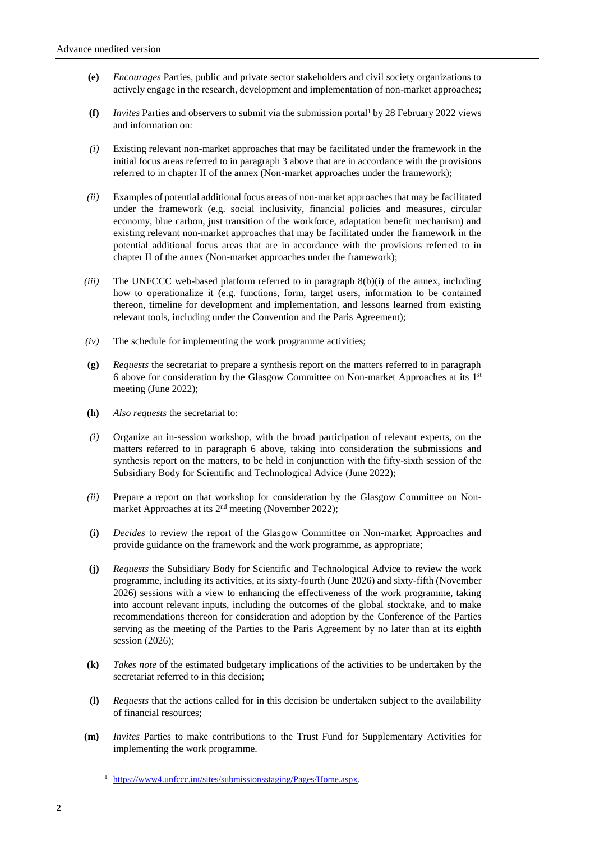- **(e)** *Encourages* Parties, public and private sector stakeholders and civil society organizations to actively engage in the research, development and implementation of non-market approaches;
- **(f)** *Invites* Parties and observers to submit via the submission portal by 28 February 2022 views and information on:
- *(i)* Existing relevant non-market approaches that may be facilitated under the framework in the initial focus areas referred to in paragraph 3 above that are in accordance with the provisions referred to in chapter II of the annex (Non-market approaches under the framework);
- *(ii)* Examples of potential additional focus areas of non-market approaches that may be facilitated under the framework (e.g. social inclusivity, financial policies and measures, circular economy, blue carbon, just transition of the workforce, adaptation benefit mechanism) and existing relevant non-market approaches that may be facilitated under the framework in the potential additional focus areas that are in accordance with the provisions referred to in chapter II of the annex (Non-market approaches under the framework);
- *(iii)* The UNFCCC web-based platform referred to in paragraph 8(b)(i) of the annex, including how to operationalize it (e.g. functions, form, target users, information to be contained thereon, timeline for development and implementation, and lessons learned from existing relevant tools, including under the Convention and the Paris Agreement);
- *(iv)* The schedule for implementing the work programme activities;
- **(g)** *Requests* the secretariat to prepare a synthesis report on the matters referred to in paragraph 6 above for consideration by the Glasgow Committee on Non-market Approaches at its  $1<sup>st</sup>$ meeting (June 2022);
- **(h)** *Also requests* the secretariat to:
- *(i)* Organize an in-session workshop, with the broad participation of relevant experts, on the matters referred to in paragraph 6 above, taking into consideration the submissions and synthesis report on the matters, to be held in conjunction with the fifty-sixth session of the Subsidiary Body for Scientific and Technological Advice (June 2022);
- *(ii)* Prepare a report on that workshop for consideration by the Glasgow Committee on Nonmarket Approaches at its 2<sup>nd</sup> meeting (November 2022);
- **(i)** *Decides* to review the report of the Glasgow Committee on Non-market Approaches and provide guidance on the framework and the work programme, as appropriate;
- **(j)** *Requests* the Subsidiary Body for Scientific and Technological Advice to review the work programme, including its activities, at its sixty-fourth (June 2026) and sixty-fifth (November 2026) sessions with a view to enhancing the effectiveness of the work programme, taking into account relevant inputs, including the outcomes of the global stocktake, and to make recommendations thereon for consideration and adoption by the Conference of the Parties serving as the meeting of the Parties to the Paris Agreement by no later than at its eighth session (2026);
- **(k)** *Takes note* of the estimated budgetary implications of the activities to be undertaken by the secretariat referred to in this decision;
- **(l)** *Requests* that the actions called for in this decision be undertaken subject to the availability of financial resources;
- **(m)** *Invites* Parties to make contributions to the Trust Fund for Supplementary Activities for implementing the work programme.

-

<sup>1</sup> [https://www4.unfccc.int/sites/submissionsstaging/Pages/Home.aspx.](https://www4.unfccc.int/sites/submissionsstaging/Pages/Home.aspx)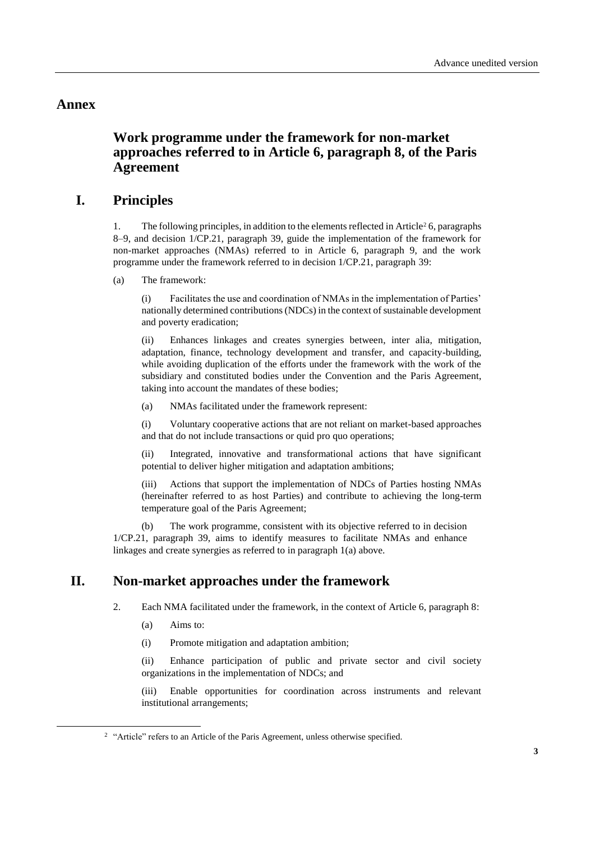#### **Annex**

# **Work programme under the framework for non-market approaches referred to in Article 6, paragraph 8, of the Paris Agreement**

### **I. Principles**

1. The following principles, in addition to the elements reflected in Article<sup>2</sup> 6, paragraphs 8–9, and decision 1/CP.21, paragraph 39, guide the implementation of the framework for non-market approaches (NMAs) referred to in Article 6, paragraph 9, and the work programme under the framework referred to in decision 1/CP.21, paragraph 39:

(a) The framework:

(i) Facilitates the use and coordination of NMAs in the implementation of Parties' nationally determined contributions (NDCs) in the context of sustainable development and poverty eradication;

(ii) Enhances linkages and creates synergies between, inter alia, mitigation, adaptation, finance, technology development and transfer, and capacity-building, while avoiding duplication of the efforts under the framework with the work of the subsidiary and constituted bodies under the Convention and the Paris Agreement, taking into account the mandates of these bodies;

(a) NMAs facilitated under the framework represent:

(i) Voluntary cooperative actions that are not reliant on market-based approaches and that do not include transactions or quid pro quo operations;

(ii) Integrated, innovative and transformational actions that have significant potential to deliver higher mitigation and adaptation ambitions;

Actions that support the implementation of NDCs of Parties hosting NMAs (hereinafter referred to as host Parties) and contribute to achieving the long-term temperature goal of the Paris Agreement;

(b) The work programme, consistent with its objective referred to in decision 1/CP.21, paragraph 39, aims to identify measures to facilitate NMAs and enhance linkages and create synergies as referred to in paragraph 1(a) above.

# **II. Non-market approaches under the framework**

2. Each NMA facilitated under the framework, in the context of Article 6, paragraph 8:

(a) Aims to:

1

(i) Promote mitigation and adaptation ambition;

(ii) Enhance participation of public and private sector and civil society organizations in the implementation of NDCs; and

(iii) Enable opportunities for coordination across instruments and relevant institutional arrangements;

<sup>&</sup>lt;sup>2</sup> "Article" refers to an Article of the Paris Agreement, unless otherwise specified.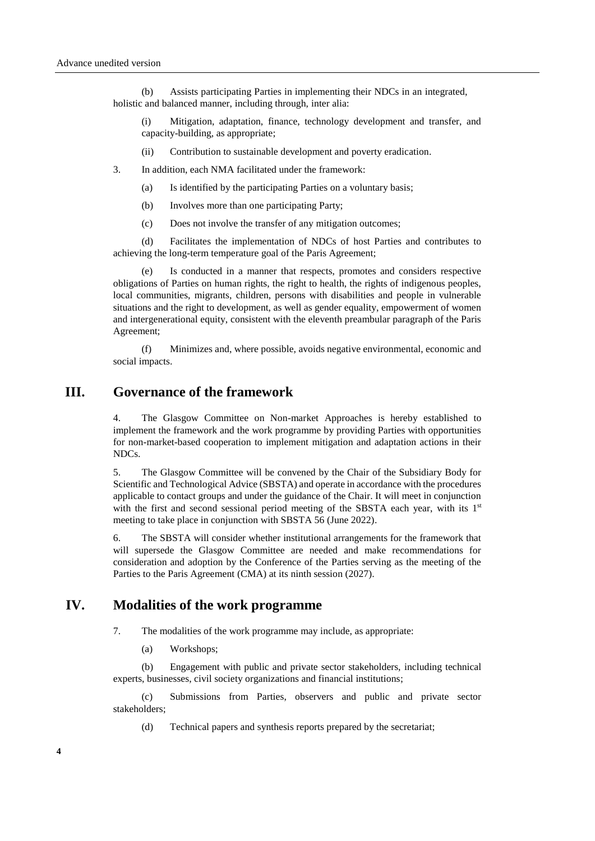(b) Assists participating Parties in implementing their NDCs in an integrated, holistic and balanced manner, including through, inter alia:

(i) Mitigation, adaptation, finance, technology development and transfer, and capacity-building, as appropriate;

- (ii) Contribution to sustainable development and poverty eradication.
- 3. In addition, each NMA facilitated under the framework:
	- (a) Is identified by the participating Parties on a voluntary basis;
	- (b) Involves more than one participating Party;
	- (c) Does not involve the transfer of any mitigation outcomes;

(d) Facilitates the implementation of NDCs of host Parties and contributes to achieving the long-term temperature goal of the Paris Agreement;

(e) Is conducted in a manner that respects, promotes and considers respective obligations of Parties on human rights, the right to health, the rights of indigenous peoples, local communities, migrants, children, persons with disabilities and people in vulnerable situations and the right to development, as well as gender equality, empowerment of women and intergenerational equity, consistent with the eleventh preambular paragraph of the Paris Agreement;

(f) Minimizes and, where possible, avoids negative environmental, economic and social impacts.

## **III. Governance of the framework**

4. The Glasgow Committee on Non-market Approaches is hereby established to implement the framework and the work programme by providing Parties with opportunities for non-market-based cooperation to implement mitigation and adaptation actions in their NDCs.

5. The Glasgow Committee will be convened by the Chair of the Subsidiary Body for Scientific and Technological Advice (SBSTA) and operate in accordance with the procedures applicable to contact groups and under the guidance of the Chair. It will meet in conjunction with the first and second sessional period meeting of the SBSTA each year, with its 1<sup>st</sup> meeting to take place in conjunction with SBSTA 56 (June 2022).

6. The SBSTA will consider whether institutional arrangements for the framework that will supersede the Glasgow Committee are needed and make recommendations for consideration and adoption by the Conference of the Parties serving as the meeting of the Parties to the Paris Agreement (CMA) at its ninth session (2027).

#### **IV. Modalities of the work programme**

- 7. The modalities of the work programme may include, as appropriate:
	- (a) Workshops;

(b) Engagement with public and private sector stakeholders, including technical experts, businesses, civil society organizations and financial institutions;

(c) Submissions from Parties, observers and public and private sector stakeholders;

(d) Technical papers and synthesis reports prepared by the secretariat;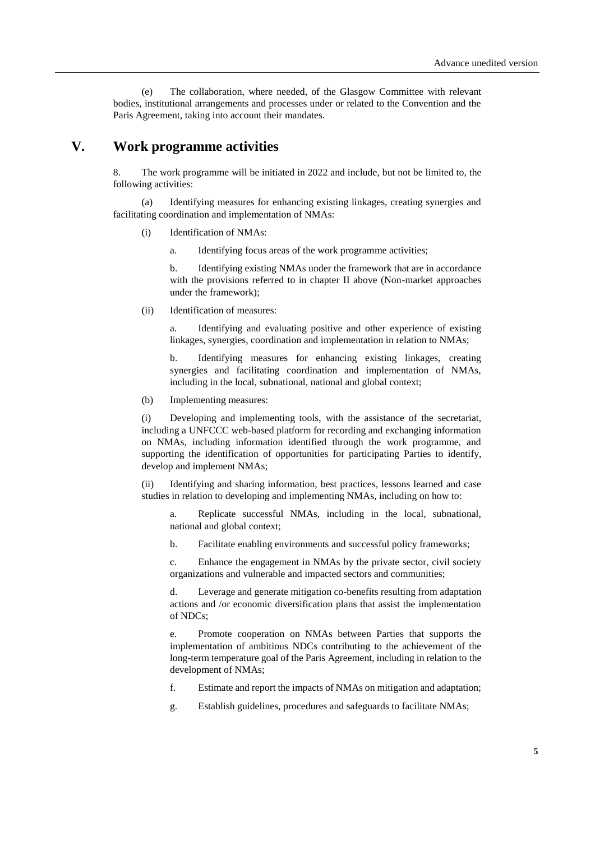(e) The collaboration, where needed, of the Glasgow Committee with relevant bodies, institutional arrangements and processes under or related to the Convention and the Paris Agreement, taking into account their mandates.

#### **V. Work programme activities**

8. The work programme will be initiated in 2022 and include, but not be limited to, the following activities:

(a) Identifying measures for enhancing existing linkages, creating synergies and facilitating coordination and implementation of NMAs:

- (i) Identification of NMAs:
	- a. Identifying focus areas of the work programme activities;

b. Identifying existing NMAs under the framework that are in accordance with the provisions referred to in chapter II above (Non-market approaches under the framework);

(ii) Identification of measures:

a. Identifying and evaluating positive and other experience of existing linkages, synergies, coordination and implementation in relation to NMAs;

b. Identifying measures for enhancing existing linkages, creating synergies and facilitating coordination and implementation of NMAs, including in the local, subnational, national and global context;

(b) Implementing measures:

(i) Developing and implementing tools, with the assistance of the secretariat, including a UNFCCC web-based platform for recording and exchanging information on NMAs, including information identified through the work programme, and supporting the identification of opportunities for participating Parties to identify, develop and implement NMAs;

Identifying and sharing information, best practices, lessons learned and case studies in relation to developing and implementing NMAs, including on how to:

a. Replicate successful NMAs, including in the local, subnational, national and global context;

b. Facilitate enabling environments and successful policy frameworks;

c. Enhance the engagement in NMAs by the private sector, civil society organizations and vulnerable and impacted sectors and communities;

d. Leverage and generate mitigation co-benefits resulting from adaptation actions and /or economic diversification plans that assist the implementation of NDCs;

e. Promote cooperation on NMAs between Parties that supports the implementation of ambitious NDCs contributing to the achievement of the long-term temperature goal of the Paris Agreement, including in relation to the development of NMAs;

- f. Estimate and report the impacts of NMAs on mitigation and adaptation;
- g. Establish guidelines, procedures and safeguards to facilitate NMAs;